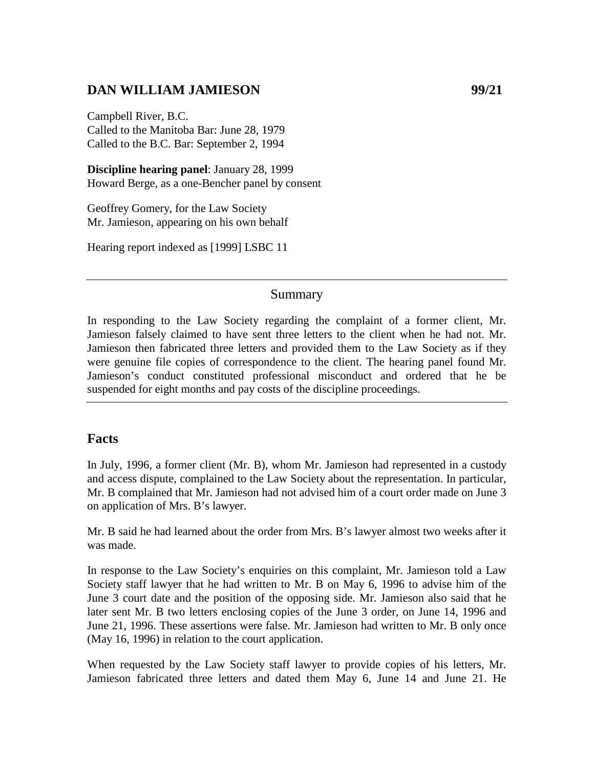## **DAN WILLIAM JAMIESON 99/21**

Campbell River, B.C. Called to the Manitoba Bar: June 28, 1979 Called to the B.C. Bar: September 2, 1994

**Discipline hearing panel**: January 28, 1999 Howard Berge, as a one-Bencher panel by consent

Geoffrey Gomery, for the Law Society Mr. Jamieson, appearing on his own behalf

Hearing report indexed as [1999] LSBC 11

#### Summary

In responding to the Law Society regarding the complaint of a former client, Mr. Jamieson falsely claimed to have sent three letters to the client when he had not. Mr. Jamieson then fabricated three letters and provided them to the Law Society as if they were genuine file copies of correspondence to the client. The hearing panel found Mr. Jamieson's conduct constituted professional misconduct and ordered that he be suspended for eight months and pay costs of the discipline proceedings.

### **Facts**

In July, 1996, a former client (Mr. B), whom Mr. Jamieson had represented in a custody and access dispute, complained to the Law Society about the representation. In particular, Mr. B complained that Mr. Jamieson had not advised him of a court order made on June 3 on application of Mrs. B's lawyer.

Mr. B said he had learned about the order from Mrs. B's lawyer almost two weeks after it was made.

In response to the Law Society's enquiries on this complaint, Mr. Jamieson told a Law Society staff lawyer that he had written to Mr. B on May 6, 1996 to advise him of the June 3 court date and the position of the opposing side. Mr. Jamieson also said that he later sent Mr. B two letters enclosing copies of the June 3 order, on June 14, 1996 and June 21, 1996. These assertions were false. Mr. Jamieson had written to Mr. B only once (May 16, 1996) in relation to the court application.

When requested by the Law Society staff lawyer to provide copies of his letters, Mr. Jamieson fabricated three letters and dated them May 6, June 14 and June 21. He